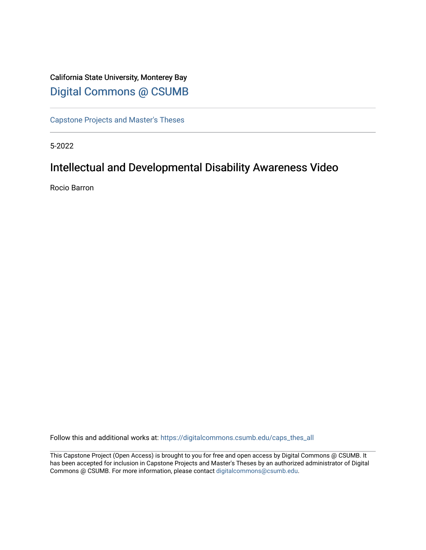# California State University, Monterey Bay [Digital Commons @ CSUMB](https://digitalcommons.csumb.edu/)

[Capstone Projects and Master's Theses](https://digitalcommons.csumb.edu/caps_thes_all)

5-2022

# Intellectual and Developmental Disability Awareness Video

Rocio Barron

Follow this and additional works at: [https://digitalcommons.csumb.edu/caps\\_thes\\_all](https://digitalcommons.csumb.edu/caps_thes_all?utm_source=digitalcommons.csumb.edu%2Fcaps_thes_all%2F1287&utm_medium=PDF&utm_campaign=PDFCoverPages)

This Capstone Project (Open Access) is brought to you for free and open access by Digital Commons @ CSUMB. It has been accepted for inclusion in Capstone Projects and Master's Theses by an authorized administrator of Digital Commons @ CSUMB. For more information, please contact [digitalcommons@csumb.edu](mailto:digitalcommons@csumb.edu).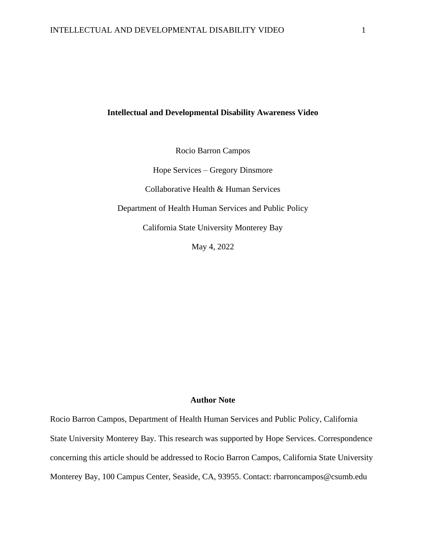#### **Intellectual and Developmental Disability Awareness Video**

Rocio Barron Campos

Hope Services – Gregory Dinsmore

Collaborative Health & Human Services

Department of Health Human Services and Public Policy

California State University Monterey Bay

May 4, 2022

#### **Author Note**

Rocio Barron Campos, Department of Health Human Services and Public Policy, California State University Monterey Bay. This research was supported by Hope Services. Correspondence concerning this article should be addressed to Rocio Barron Campos, California State University Monterey Bay, 100 Campus Center, Seaside, CA, 93955. Contact: rbarroncampos@csumb.edu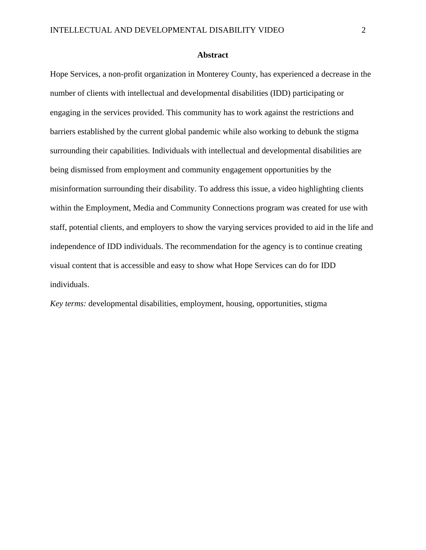#### **Abstract**

Hope Services, a non-profit organization in Monterey County, has experienced a decrease in the number of clients with intellectual and developmental disabilities (IDD) participating or engaging in the services provided. This community has to work against the restrictions and barriers established by the current global pandemic while also working to debunk the stigma surrounding their capabilities. Individuals with intellectual and developmental disabilities are being dismissed from employment and community engagement opportunities by the misinformation surrounding their disability. To address this issue, a video highlighting clients within the Employment, Media and Community Connections program was created for use with staff, potential clients, and employers to show the varying services provided to aid in the life and independence of IDD individuals. The recommendation for the agency is to continue creating visual content that is accessible and easy to show what Hope Services can do for IDD individuals.

*Key terms:* developmental disabilities, employment, housing, opportunities, stigma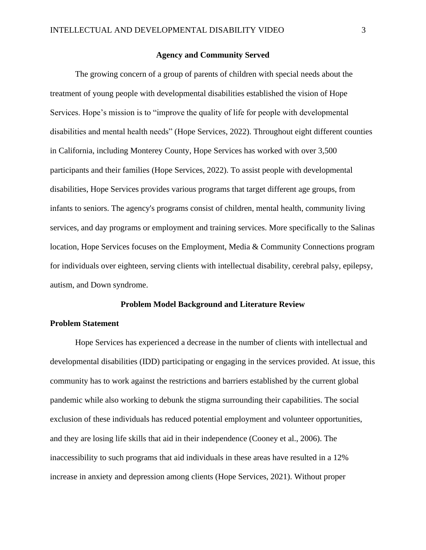#### **Agency and Community Served**

The growing concern of a group of parents of children with special needs about the treatment of young people with developmental disabilities established the vision of Hope Services. Hope's mission is to "improve the quality of life for people with developmental disabilities and mental health needs" (Hope Services, 2022). Throughout eight different counties in California, including Monterey County, Hope Services has worked with over 3,500 participants and their families (Hope Services, 2022). To assist people with developmental disabilities, Hope Services provides various programs that target different age groups, from infants to seniors. The agency's programs consist of children, mental health, community living services, and day programs or employment and training services. More specifically to the Salinas location, Hope Services focuses on the Employment, Media & Community Connections program for individuals over eighteen, serving clients with intellectual disability, cerebral palsy, epilepsy, autism, and Down syndrome.

#### **Problem Model Background and Literature Review**

#### **Problem Statement**

Hope Services has experienced a decrease in the number of clients with intellectual and developmental disabilities (IDD) participating or engaging in the services provided. At issue, this community has to work against the restrictions and barriers established by the current global pandemic while also working to debunk the stigma surrounding their capabilities. The social exclusion of these individuals has reduced potential employment and volunteer opportunities, and they are losing life skills that aid in their independence (Cooney et al., 2006). The inaccessibility to such programs that aid individuals in these areas have resulted in a 12% increase in anxiety and depression among clients (Hope Services, 2021). Without proper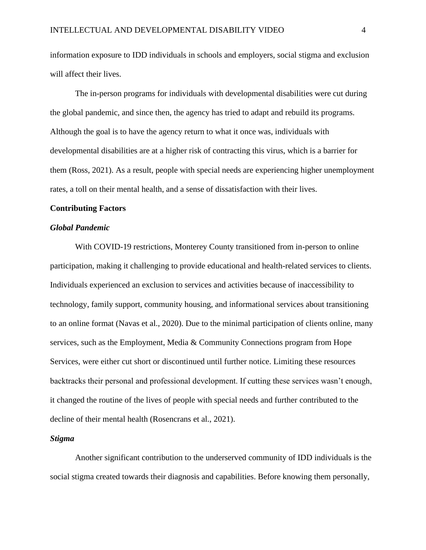information exposure to IDD individuals in schools and employers, social stigma and exclusion will affect their lives.

The in-person programs for individuals with developmental disabilities were cut during the global pandemic, and since then, the agency has tried to adapt and rebuild its programs. Although the goal is to have the agency return to what it once was, individuals with developmental disabilities are at a higher risk of contracting this virus, which is a barrier for them (Ross, 2021). As a result, people with special needs are experiencing higher unemployment rates, a toll on their mental health, and a sense of dissatisfaction with their lives.

#### **Contributing Factors**

#### *Global Pandemic*

With COVID-19 restrictions, Monterey County transitioned from in-person to online participation, making it challenging to provide educational and health-related services to clients. Individuals experienced an exclusion to services and activities because of inaccessibility to technology, family support, community housing, and informational services about transitioning to an online format (Navas et al., 2020). Due to the minimal participation of clients online, many services, such as the Employment, Media & Community Connections program from Hope Services, were either cut short or discontinued until further notice. Limiting these resources backtracks their personal and professional development. If cutting these services wasn't enough, it changed the routine of the lives of people with special needs and further contributed to the decline of their mental health (Rosencrans et al., 2021).

#### *Stigma*

Another significant contribution to the underserved community of IDD individuals is the social stigma created towards their diagnosis and capabilities. Before knowing them personally,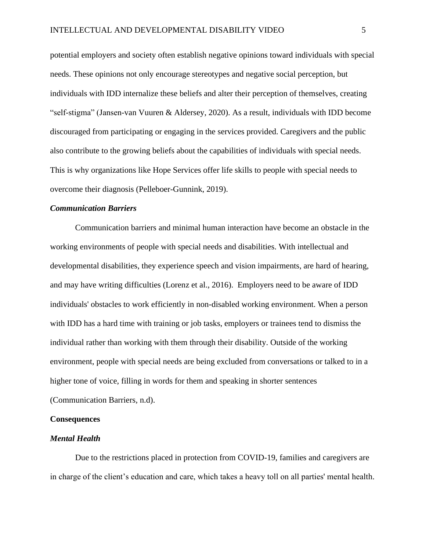potential employers and society often establish negative opinions toward individuals with special needs. These opinions not only encourage stereotypes and negative social perception, but individuals with IDD internalize these beliefs and alter their perception of themselves, creating "self-stigma" (Jansen-van Vuuren & Aldersey, 2020). As a result, individuals with IDD become discouraged from participating or engaging in the services provided. Caregivers and the public also contribute to the growing beliefs about the capabilities of individuals with special needs. This is why organizations like Hope Services offer life skills to people with special needs to overcome their diagnosis (Pelleboer-Gunnink, 2019).

#### *Communication Barriers*

Communication barriers and minimal human interaction have become an obstacle in the working environments of people with special needs and disabilities. With intellectual and developmental disabilities, they experience speech and vision impairments, are hard of hearing, and may have writing difficulties (Lorenz et al., 2016). Employers need to be aware of IDD individuals' obstacles to work efficiently in non-disabled working environment. When a person with IDD has a hard time with training or job tasks, employers or trainees tend to dismiss the individual rather than working with them through their disability. Outside of the working environment, people with special needs are being excluded from conversations or talked to in a higher tone of voice, filling in words for them and speaking in shorter sentences (Communication Barriers*,* n.d).

#### **Consequences**

#### *Mental Health*

Due to the restrictions placed in protection from COVID-19, families and caregivers are in charge of the client's education and care, which takes a heavy toll on all parties' mental health.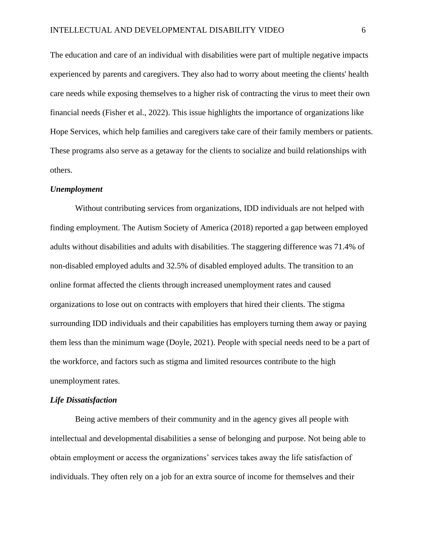The education and care of an individual with disabilities were part of multiple negative impacts experienced by parents and caregivers. They also had to worry about meeting the clients' health care needs while exposing themselves to a higher risk of contracting the virus to meet their own financial needs (Fisher et al., 2022). This issue highlights the importance of organizations like Hope Services, which help families and caregivers take care of their family members or patients. These programs also serve as a getaway for the clients to socialize and build relationships with others.

#### *Unemployment*

Without contributing services from organizations, IDD individuals are not helped with finding employment. The Autism Society of America (2018) reported a gap between employed adults without disabilities and adults with disabilities. The staggering difference was 71.4% of non-disabled employed adults and 32.5% of disabled employed adults. The transition to an online format affected the clients through increased unemployment rates and caused organizations to lose out on contracts with employers that hired their clients. The stigma surrounding IDD individuals and their capabilities has employers turning them away or paying them less than the minimum wage (Doyle, 2021). People with special needs need to be a part of the workforce, and factors such as stigma and limited resources contribute to the high unemployment rates.

#### *Life Dissatisfaction*

Being active members of their community and in the agency gives all people with intellectual and developmental disabilities a sense of belonging and purpose. Not being able to obtain employment or access the organizations' services takes away the life satisfaction of individuals. They often rely on a job for an extra source of income for themselves and their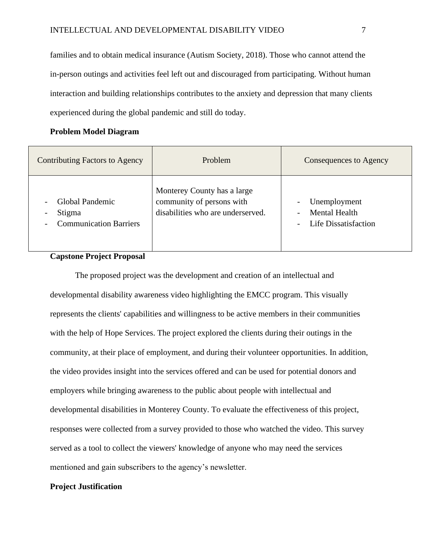families and to obtain medical insurance (Autism Society, 2018). Those who cannot attend the in-person outings and activities feel left out and discouraged from participating. Without human interaction and building relationships contributes to the anxiety and depression that many clients experienced during the global pandemic and still do today.

#### **Problem Model Diagram**

| Contributing Factors to Agency                                                                                     | <b>Problem</b>                                                                                | Consequences to Agency                                                                   |  |
|--------------------------------------------------------------------------------------------------------------------|-----------------------------------------------------------------------------------------------|------------------------------------------------------------------------------------------|--|
| Global Pandemic<br>$\overline{\phantom{a}}$<br>Stigma<br>$\overline{\phantom{a}}$<br><b>Communication Barriers</b> | Monterey County has a large<br>community of persons with<br>disabilities who are underserved. | Unemployment<br><b>Mental Health</b><br>$\overline{\phantom{a}}$<br>Life Dissatisfaction |  |

#### **Capstone Project Proposal**

The proposed project was the development and creation of an intellectual and developmental disability awareness video highlighting the EMCC program. This visually represents the clients' capabilities and willingness to be active members in their communities with the help of Hope Services. The project explored the clients during their outings in the community, at their place of employment, and during their volunteer opportunities. In addition, the video provides insight into the services offered and can be used for potential donors and employers while bringing awareness to the public about people with intellectual and developmental disabilities in Monterey County. To evaluate the effectiveness of this project, responses were collected from a survey provided to those who watched the video. This survey served as a tool to collect the viewers' knowledge of anyone who may need the services mentioned and gain subscribers to the agency's newsletter.

#### **Project Justification**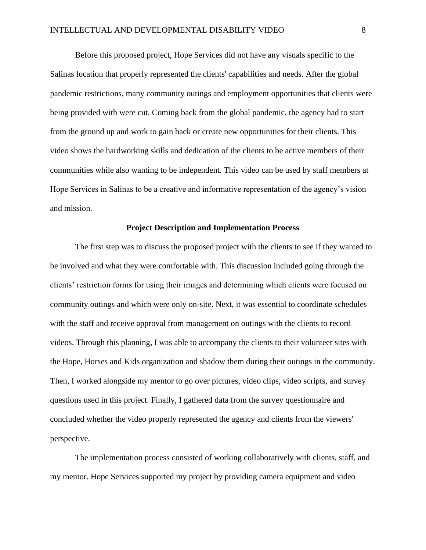Before this proposed project, Hope Services did not have any visuals specific to the Salinas location that properly represented the clients' capabilities and needs. After the global pandemic restrictions, many community outings and employment opportunities that clients were being provided with were cut. Coming back from the global pandemic, the agency had to start from the ground up and work to gain back or create new opportunities for their clients. This video shows the hardworking skills and dedication of the clients to be active members of their communities while also wanting to be independent. This video can be used by staff members at Hope Services in Salinas to be a creative and informative representation of the agency's vision and mission.

#### **Project Description and Implementation Process**

The first step was to discuss the proposed project with the clients to see if they wanted to be involved and what they were comfortable with. This discussion included going through the clients' restriction forms for using their images and determining which clients were focused on community outings and which were only on-site. Next, it was essential to coordinate schedules with the staff and receive approval from management on outings with the clients to record videos. Through this planning, I was able to accompany the clients to their volunteer sites with the Hope, Horses and Kids organization and shadow them during their outings in the community. Then, I worked alongside my mentor to go over pictures, video clips, video scripts, and survey questions used in this project. Finally, I gathered data from the survey questionnaire and concluded whether the video properly represented the agency and clients from the viewers' perspective.

The implementation process consisted of working collaboratively with clients, staff, and my mentor. Hope Services supported my project by providing camera equipment and video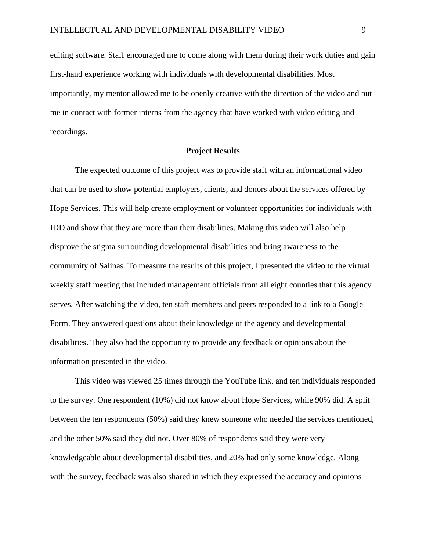editing software. Staff encouraged me to come along with them during their work duties and gain first-hand experience working with individuals with developmental disabilities. Most importantly, my mentor allowed me to be openly creative with the direction of the video and put me in contact with former interns from the agency that have worked with video editing and recordings.

#### **Project Results**

The expected outcome of this project was to provide staff with an informational video that can be used to show potential employers, clients, and donors about the services offered by Hope Services. This will help create employment or volunteer opportunities for individuals with IDD and show that they are more than their disabilities. Making this video will also help disprove the stigma surrounding developmental disabilities and bring awareness to the community of Salinas. To measure the results of this project, I presented the video to the virtual weekly staff meeting that included management officials from all eight counties that this agency serves. After watching the video, ten staff members and peers responded to a link to a Google Form. They answered questions about their knowledge of the agency and developmental disabilities. They also had the opportunity to provide any feedback or opinions about the information presented in the video.

This video was viewed 25 times through the YouTube link, and ten individuals responded to the survey. One respondent (10%) did not know about Hope Services, while 90% did. A split between the ten respondents (50%) said they knew someone who needed the services mentioned, and the other 50% said they did not. Over 80% of respondents said they were very knowledgeable about developmental disabilities, and 20% had only some knowledge. Along with the survey, feedback was also shared in which they expressed the accuracy and opinions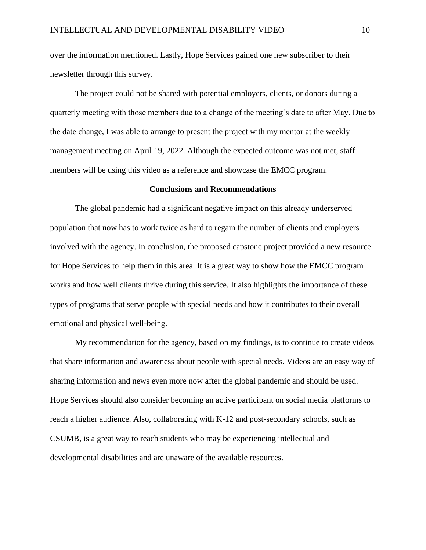over the information mentioned. Lastly, Hope Services gained one new subscriber to their newsletter through this survey.

The project could not be shared with potential employers, clients, or donors during a quarterly meeting with those members due to a change of the meeting's date to after May. Due to the date change, I was able to arrange to present the project with my mentor at the weekly management meeting on April 19, 2022. Although the expected outcome was not met, staff members will be using this video as a reference and showcase the EMCC program.

#### **Conclusions and Recommendations**

The global pandemic had a significant negative impact on this already underserved population that now has to work twice as hard to regain the number of clients and employers involved with the agency. In conclusion, the proposed capstone project provided a new resource for Hope Services to help them in this area. It is a great way to show how the EMCC program works and how well clients thrive during this service. It also highlights the importance of these types of programs that serve people with special needs and how it contributes to their overall emotional and physical well-being.

My recommendation for the agency, based on my findings, is to continue to create videos that share information and awareness about people with special needs. Videos are an easy way of sharing information and news even more now after the global pandemic and should be used. Hope Services should also consider becoming an active participant on social media platforms to reach a higher audience. Also, collaborating with K-12 and post-secondary schools, such as CSUMB, is a great way to reach students who may be experiencing intellectual and developmental disabilities and are unaware of the available resources.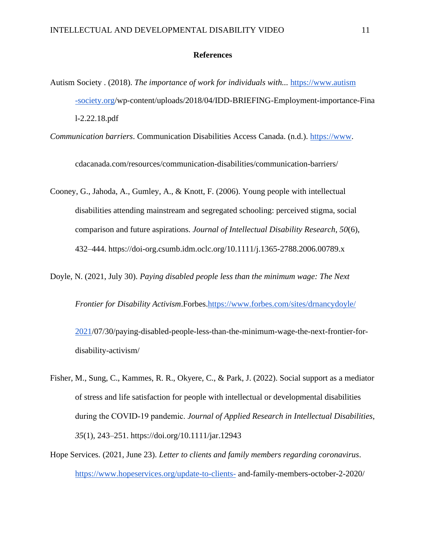#### **References**

Autism Society . (2018). *The importance of work for individuals with...* [https://www.autism](https://www.autism-society.org/)  [-society.org/](https://www.autism-society.org/)wp-content/uploads/2018/04/IDD-BRIEFING-Employment-importance-Fina l-2.22.18.pdf

*Communication barriers*. Communication Disabilities Access Canada. (n.d.). [https://www.](https://www/)

cdacanada.com/resources/communication-disabilities/communication-barriers/

Cooney, G., Jahoda, A., Gumley, A., & Knott, F. (2006). Young people with intellectual disabilities attending mainstream and segregated schooling: perceived stigma, social comparison and future aspirations. *Journal of Intellectual Disability Research*, *50*(6), 432–444. https://doi-org.csumb.idm.oclc.org/10.1111/j.1365-2788.2006.00789.x

Doyle, N. (2021, July 30). *Paying disabled people less than the minimum wage: The Next* 

*Frontier for Disability Activism*.Forbes[.https://www.forbes.com/sites/drnancydoyle/](https://www.forbes.com/sites/drnancydoyle/2021) 

[2021/](https://www.forbes.com/sites/drnancydoyle/2021)07/30/paying-disabled-people-less-than-the-minimum-wage-the-next-frontier-fordisability-activism/

Fisher, M., Sung, C., Kammes, R. R., Okyere, C., & Park, J. (2022). Social support as a mediator of stress and life satisfaction for people with intellectual or developmental disabilities during the COVID‐19 pandemic. *Journal of Applied Research in Intellectual Disabilities*, *35*(1), 243–251. https://doi.org/10.1111/jar.12943

Hope Services. (2021, June 23). *Letter to clients and family members regarding coronavirus*. <https://www.hopeservices.org/update-to-clients-> and-family-members-october-2-2020/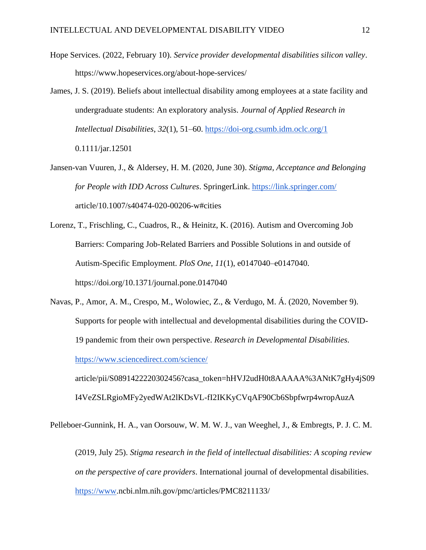- Hope Services. (2022, February 10). *Service provider developmental disabilities silicon valley*. https://www.hopeservices.org/about-hope-services/
- James, J. S. (2019). Beliefs about intellectual disability among employees at a state facility and undergraduate students: An exploratory analysis. *Journal of Applied Research in Intellectual Disabilities*, *32*(1), 51–60.<https://doi-org.csumb.idm.oclc.org/1> 0.1111/jar.12501
- Jansen-van Vuuren, J., & Aldersey, H. M. (2020, June 30). *Stigma, Acceptance and Belonging for People with IDD Across Cultures*. SpringerLink.<https://link.springer.com/> article/10.1007/s40474-020-00206-w#cities
- Lorenz, T., Frischling, C., Cuadros, R., & Heinitz, K. (2016). Autism and Overcoming Job Barriers: Comparing Job-Related Barriers and Possible Solutions in and outside of Autism-Specific Employment. *PloS One*, *11*(1), e0147040–e0147040. https://doi.org/10.1371/journal.pone.0147040
- Navas, P., Amor, A. M., Crespo, M., Wolowiec, Z., & Verdugo, M. Á. (2020, November 9). Supports for people with intellectual and developmental disabilities during the COVID-19 pandemic from their own perspective. *Research in Developmental Disabilities*. <https://www.sciencedirect.com/science/> article/pii/S0891422220302456?casa\_token=hHVJ2udH0t8AAAAA%3ANtK7gHy4jS09

I4VeZSLRgioMFy2yedWAt2lKDsVL-fI2IKKyCVqAF90Cb6Sbpfwrp4wropAuzA

Pelleboer-Gunnink, H. A., van Oorsouw, W. M. W. J., van Weeghel, J., & Embregts, P. J. C. M.

(2019, July 25). *Stigma research in the field of intellectual disabilities: A scoping review on the perspective of care providers*. International journal of developmental disabilities. [https://www.](https://www/)ncbi.nlm.nih.gov/pmc/articles/PMC8211133/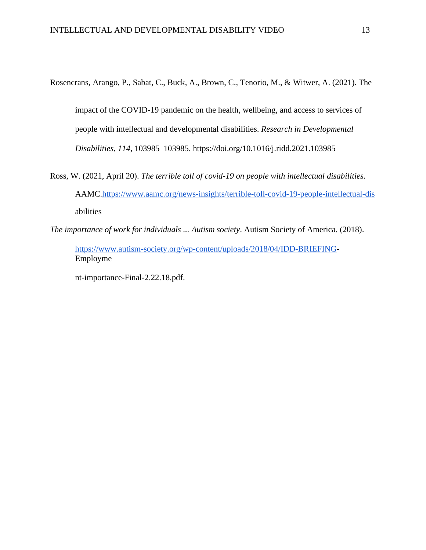Rosencrans, Arango, P., Sabat, C., Buck, A., Brown, C., Tenorio, M., & Witwer, A. (2021). The

impact of the COVID-19 pandemic on the health, wellbeing, and access to services of people with intellectual and developmental disabilities. *Research in Developmental Disabilities*, *114*, 103985–103985. https://doi.org/10.1016/j.ridd.2021.103985

Ross, W. (2021, April 20). *The terrible toll of covid-19 on people with intellectual disabilities*. AAMC[.https://www.aamc.org/news-insights/terrible-toll-covid-19-people-intellectual-dis](https://www.aamc.org/news-insights/terrible-toll-covid-19-people-intellectual-dis) abilities

*The importance of work for individuals ... Autism society*. Autism Society of America. (2018).

[https://www.autism-society.org/wp-content/uploads/2018/04/IDD-BRIEFING-](https://www.autism-society.org/wp-content/uploads/2018/04/IDD-BRIEFING)Employme

nt-importance-Final-2.22.18.pdf.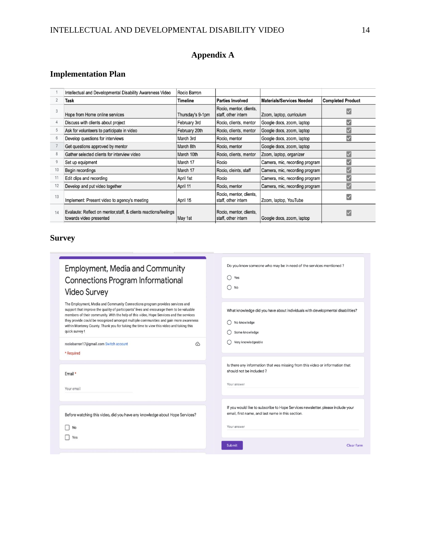## **Appendix A**

## **Implementation Plan**

|                | Intellectual and Developmental Disability Awareness Video                                   | Rocio Barron     |                                                |                                  |                          |
|----------------|---------------------------------------------------------------------------------------------|------------------|------------------------------------------------|----------------------------------|--------------------------|
| $\overline{2}$ | Task                                                                                        | <b>Timeline</b>  | <b>Parties Involved</b>                        | <b>Materials/Services Needed</b> | <b>Completed Product</b> |
| 3              | Hope from Home online services                                                              | Thursday's 9-1pm | Rocio, mentor, clients,<br>staff, other intern | Zoom, laptop, curriculum         |                          |
| 4              | Discuss with clients about project                                                          | February 3rd     | Rocio, clients, mentor                         | Google docs, zoom, laptop        |                          |
| 5              | Ask for volunteers to participate in video                                                  | February 20th    | Rocio, clients, mentor                         | Google docs, zoom, laptop        |                          |
| 6              | Develop questions for interviews                                                            | March 3rd        | Rocio, mentor                                  | Google docs, zoom, laptop        | ∨                        |
|                | Get questions approved by mentor                                                            | March 8th        | Rocio, mentor                                  | Google docs, zoom, laptop        |                          |
| 8              | Gather selected clients for interview video                                                 | March 10th       | Rocio, clients, mentor                         | Zoom, laptop, organizer          | $\overline{\mathsf{v}}$  |
| 9              | Set up equipment                                                                            | March 17         | Rocio                                          | Camera, mic, recording program   | V                        |
| 10             | Begin recordings                                                                            | March 17         | Rocio, cleints, staff                          | Camera, mic, recording program   |                          |
| 11             | Edit clips and recording                                                                    | April 1st        | Rocio                                          | Camera, mic, recording program   | $\overline{\mathsf{v}}$  |
| 12             | Develop and put video together                                                              | April 11         | Rocio, mentor                                  | Camera, mic, recording program   | V                        |
| 13             | Implement: Present video to agency's meeting                                                | April 15         | Rocio, mentor, clients,<br>staff, other intern | Zoom, laptop, YouTube            |                          |
| 14             | Evalaute: Reflect on mentor, staff, & clients reactions/feelings<br>towards video presented | May 1st          | Rocio, mentor, clients,<br>staff, other intern | Google docs, zoom, laptop        |                          |

Do you know someone who may be in need of the services mentioned?

## **Survey**

| <b>Employment, Media and Community</b>   |  |
|------------------------------------------|--|
| <b>Connections Program Informational</b> |  |
| <b>Video Survey</b>                      |  |

| The Employment, Media and Community Connections program provides services and<br>support that improve the quality of participants' lives and encourage them to be valuable<br>members of their community. With the help of this video, Hope Services and the services<br>they provide could be recognized amongst multiple communities and gain more awareness<br>within Monterey County. Thank you for taking the time to view this video and taking this<br>quick survey! | What knowledge did you have about individuals with developmental disabilities?<br>No knowledge<br>Some knowledge                     |
|-----------------------------------------------------------------------------------------------------------------------------------------------------------------------------------------------------------------------------------------------------------------------------------------------------------------------------------------------------------------------------------------------------------------------------------------------------------------------------|--------------------------------------------------------------------------------------------------------------------------------------|
| ⓒ<br>rociobarron17@gmail.com Switch account<br>* Required                                                                                                                                                                                                                                                                                                                                                                                                                   | Very knowledgeable                                                                                                                   |
|                                                                                                                                                                                                                                                                                                                                                                                                                                                                             |                                                                                                                                      |
| Email *                                                                                                                                                                                                                                                                                                                                                                                                                                                                     | Is there any information that was missing from this video or information that<br>should not be included?                             |
|                                                                                                                                                                                                                                                                                                                                                                                                                                                                             | Your answer                                                                                                                          |
| Your email                                                                                                                                                                                                                                                                                                                                                                                                                                                                  |                                                                                                                                      |
|                                                                                                                                                                                                                                                                                                                                                                                                                                                                             |                                                                                                                                      |
| Before watching this video, did you have any knowledge about Hope Services?                                                                                                                                                                                                                                                                                                                                                                                                 | If you would like to subscribe to Hope Services newsletter, please include your<br>email, first name, and last name in this section. |
| No                                                                                                                                                                                                                                                                                                                                                                                                                                                                          | Your answer                                                                                                                          |
|                                                                                                                                                                                                                                                                                                                                                                                                                                                                             |                                                                                                                                      |
| Yes                                                                                                                                                                                                                                                                                                                                                                                                                                                                         | <b>Clear form</b><br><b>Submit</b>                                                                                                   |
|                                                                                                                                                                                                                                                                                                                                                                                                                                                                             |                                                                                                                                      |

 $\bigcirc$  Yes  $\bigcirc$  No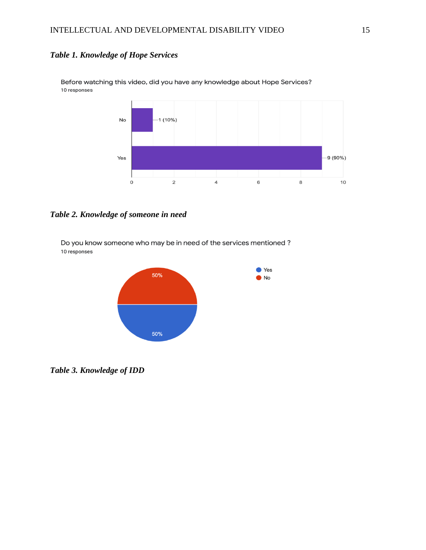## *Table 1. Knowledge of Hope Services*



Before watching this video, did you have any knowledge about Hope Services? 10 responses

*Table 2. Knowledge of someone in need* 

Do you know someone who may be in need of the services mentioned? 10 responses



*Table 3. Knowledge of IDD*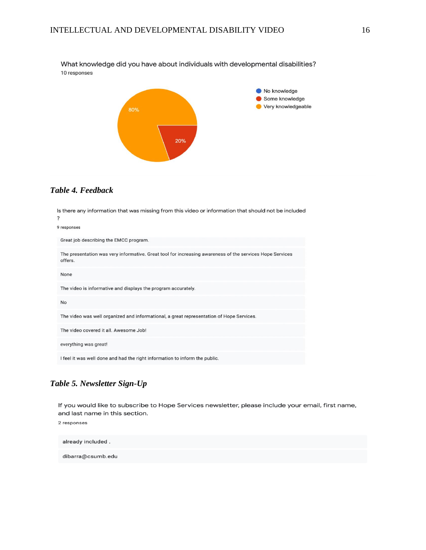What knowledge did you have about individuals with developmental disabilities? 10 responses



### *Table 4. Feedback*

Is there any information that was missing from this video or information that should not be included  $\overline{\mathbf{?}}$ 9 responses Great job describing the EMCC program. The presentation was very informative. Great tool for increasing awareness of the services Hope Services offers. None The video is informative and displays the program accurately.  $No$ The video was well organized and informational, a great representation of Hope Services. The video covered it all. Awesome Job! everything was great! I feel it was well done and had the right information to inform the public.

#### *Table 5. Newsletter Sign-Up*

If you would like to subscribe to Hope Services newsletter, please include your email, first name, and last name in this section.

2 responses

already included. dibarra@csumb.edu